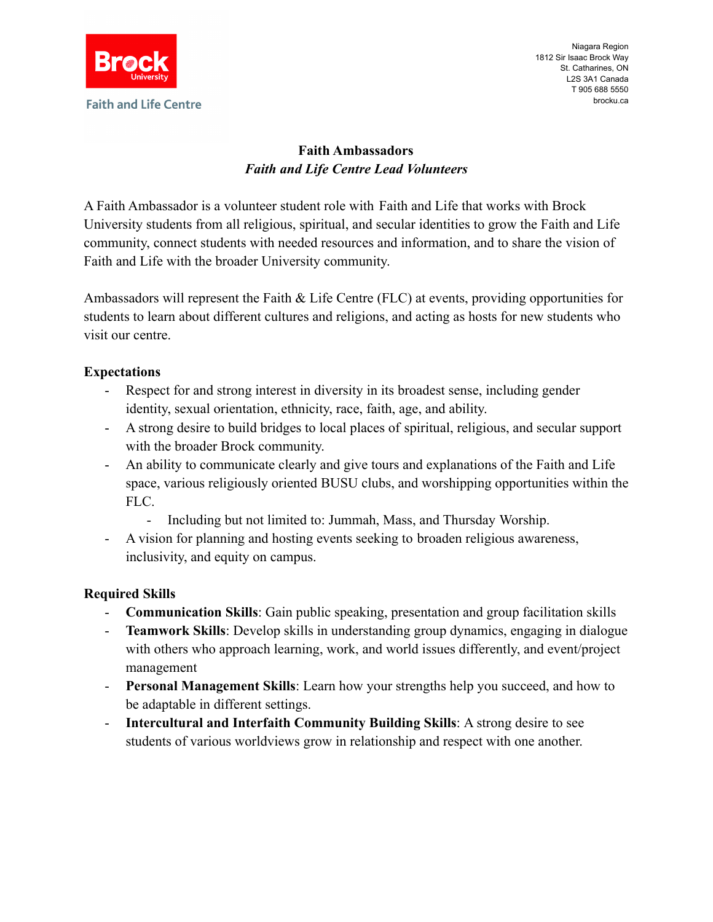

Niagara Region 1812 Sir Isaac Brock Way St. Catharines, ON L2S 3A1 Canada T 905 688 5550 brocku.ca

# **Faith Ambassadors** *Faith and Life Centre Lead Volunteers*

A Faith Ambassador is a volunteer student role with Faith and Life that works with Brock University students from all religious, spiritual, and secular identities to grow the Faith and Life community, connect students with needed resources and information, and to share the vision of Faith and Life with the broader University community.

Ambassadors will represent the Faith & Life Centre (FLC) at events, providing opportunities for students to learn about different cultures and religions, and acting as hosts for new students who visit our centre.

# **Expectations**

- Respect for and strong interest in diversity in its broadest sense, including gender identity, sexual orientation, ethnicity, race, faith, age, and ability.
- A strong desire to build bridges to local places of spiritual, religious, and secular support with the broader Brock community.
- An ability to communicate clearly and give tours and explanations of the Faith and Life space, various religiously oriented BUSU clubs, and worshipping opportunities within the FLC.
	- Including but not limited to: Jummah, Mass, and Thursday Worship.
- A vision for planning and hosting events seeking to broaden religious awareness, inclusivity, and equity on campus.

# **Required Skills**

- **Communication Skills**: Gain public speaking, presentation and group facilitation skills
- **Teamwork Skills**: Develop skills in understanding group dynamics, engaging in dialogue with others who approach learning, work, and world issues differently, and event/project management
- **Personal Management Skills**: Learn how your strengths help you succeed, and how to be adaptable in different settings.
- **Intercultural and Interfaith Community Building Skills**: A strong desire to see students of various worldviews grow in relationship and respect with one another.